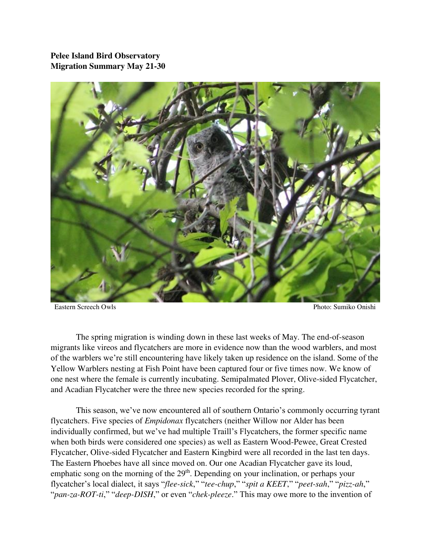## **Pelee Island Bird Observatory Migration Summary May 21-30**



Eastern Screech Owls Photo: Sumiko Onishi

 The spring migration is winding down in these last weeks of May. The end-of-season migrants like vireos and flycatchers are more in evidence now than the wood warblers, and most of the warblers we're still encountering have likely taken up residence on the island. Some of the Yellow Warblers nesting at Fish Point have been captured four or five times now. We know of one nest where the female is currently incubating. Semipalmated Plover, Olive-sided Flycatcher, and Acadian Flycatcher were the three new species recorded for the spring.

 This season, we've now encountered all of southern Ontario's commonly occurring tyrant flycatchers. Five species of *Empidonax* flycatchers (neither Willow nor Alder has been individually confirmed, but we've had multiple Traill's Flycatchers, the former specific name when both birds were considered one species) as well as Eastern Wood-Pewee, Great Crested Flycatcher, Olive-sided Flycatcher and Eastern Kingbird were all recorded in the last ten days. The Eastern Phoebes have all since moved on. Our one Acadian Flycatcher gave its loud, emphatic song on the morning of the  $29<sup>th</sup>$ . Depending on your inclination, or perhaps your flycatcher's local dialect, it says "*flee-sick*," "*tee-chup*," "*spit a KEET*," "*peet-sah*," "*pizz-ah*," "*pan-za-ROT-ti*," "*deep-DISH*," or even "*chek-pleeze*." This may owe more to the invention of